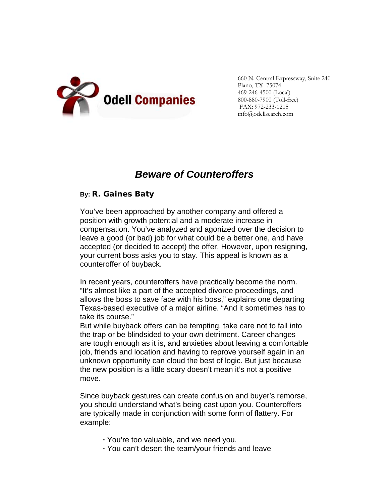

660 N. Central Expressway, Suite 240 Plano, TX 75074 469-246-4500 (Local) 800-880-7900 (Toll-free) FAX: 972-233-1215 info@odellsearch.com

## *Beware of Counteroffers*

## **By: R. Gaines Baty**

You've been approached by another company and offered a position with growth potential and a moderate increase in compensation. You've analyzed and agonized over the decision to leave a good (or bad) job for what could be a better one, and have accepted (or decided to accept) the offer. However, upon resigning, your current boss asks you to stay. This appeal is known as a counteroffer of buyback.

In recent years, counteroffers have practically become the norm. "It's almost like a part of the accepted divorce proceedings, and allows the boss to save face with his boss," explains one departing Texas-based executive of a major airline. "And it sometimes has to take its course."

But while buyback offers can be tempting, take care not to fall into the trap or be blindsided to your own detriment. Career changes are tough enough as it is, and anxieties about leaving a comfortable job, friends and location and having to reprove yourself again in an unknown opportunity can cloud the best of logic. But just because the new position is a little scary doesn't mean it's not a positive move.

Since buyback gestures can create confusion and buyer's remorse, you should understand what's being cast upon you. Counteroffers are typically made in conjunction with some form of flattery. For example:

- **·** You're too valuable, and we need you.
- **·** You can't desert the team/your friends and leave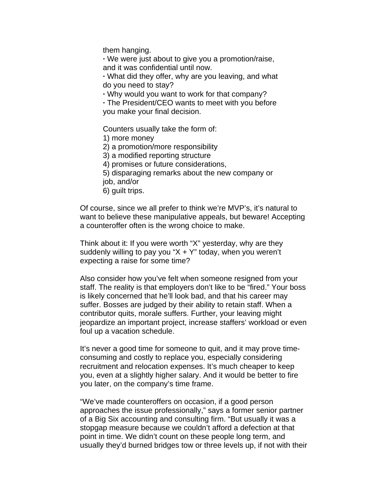them hanging.

**·** We were just about to give you a promotion/raise, and it was confidential until now.

**·** What did they offer, why are you leaving, and what do you need to stay?

**·** Why would you want to work for that company?

**·** The President/CEO wants to meet with you before you make your final decision.

Counters usually take the form of:

1) more money

2) a promotion/more responsibility

3) a modified reporting structure

4) promises or future considerations,

5) disparaging remarks about the new company or

job, and/or

6) guilt trips.

Of course, since we all prefer to think we're MVP's, it's natural to want to believe these manipulative appeals, but beware! Accepting a counteroffer often is the wrong choice to make.

Think about it: If you were worth "X" yesterday, why are they suddenly willing to pay you " $X + Y$ " today, when you weren't expecting a raise for some time?

Also consider how you've felt when someone resigned from your staff. The reality is that employers don't like to be "fired." Your boss is likely concerned that he'll look bad, and that his career may suffer. Bosses are judged by their ability to retain staff. When a contributor quits, morale suffers. Further, your leaving might jeopardize an important project, increase staffers' workload or even foul up a vacation schedule.

It's never a good time for someone to quit, and it may prove timeconsuming and costly to replace you, especially considering recruitment and relocation expenses. It's much cheaper to keep you, even at a slightly higher salary. And it would be better to fire you later, on the company's time frame.

"We've made counteroffers on occasion, if a good person approaches the issue professionally," says a former senior partner of a Big Six accounting and consulting firm. "But usually it was a stopgap measure because we couldn't afford a defection at that point in time. We didn't count on these people long term, and usually they'd burned bridges tow or three levels up, if not with their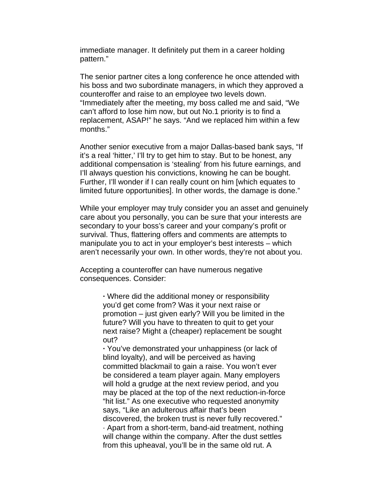immediate manager. It definitely put them in a career holding pattern."

The senior partner cites a long conference he once attended with his boss and two subordinate managers, in which they approved a counteroffer and raise to an employee two levels down. "Immediately after the meeting, my boss called me and said, "We can't afford to lose him now, but out No.1 priority is to find a replacement, ASAP!" he says. "And we replaced him within a few months."

Another senior executive from a major Dallas-based bank says, "If it's a real 'hitter,' I'll try to get him to stay. But to be honest, any additional compensation is 'stealing' from his future earnings, and I'll always question his convictions, knowing he can be bought. Further, I'll wonder if I can really count on him [which equates to limited future opportunities]. In other words, the damage is done."

While your employer may truly consider you an asset and genuinely care about you personally, you can be sure that your interests are secondary to your boss's career and your company's profit or survival. Thus, flattering offers and comments are attempts to manipulate you to act in your employer's best interests – which aren't necessarily your own. In other words, they're not about you.

Accepting a counteroffer can have numerous negative consequences. Consider:

> **·** Where did the additional money or responsibility you'd get come from? Was it your next raise or promotion – just given early? Will you be limited in the future? Will you have to threaten to quit to get your next raise? Might a (cheaper) replacement be sought out?

> **·** You've demonstrated your unhappiness (or lack of blind loyalty), and will be perceived as having committed blackmail to gain a raise. You won't ever be considered a team player again. Many employers will hold a grudge at the next review period, and you may be placed at the top of the next reduction-in-force "hit list." As one executive who requested anonymity says, "Like an adulterous affair that's been discovered, the broken trust is never fully recovered." · Apart from a short-term, band-aid treatment, nothing will change within the company. After the dust settles from this upheaval, you'll be in the same old rut. A